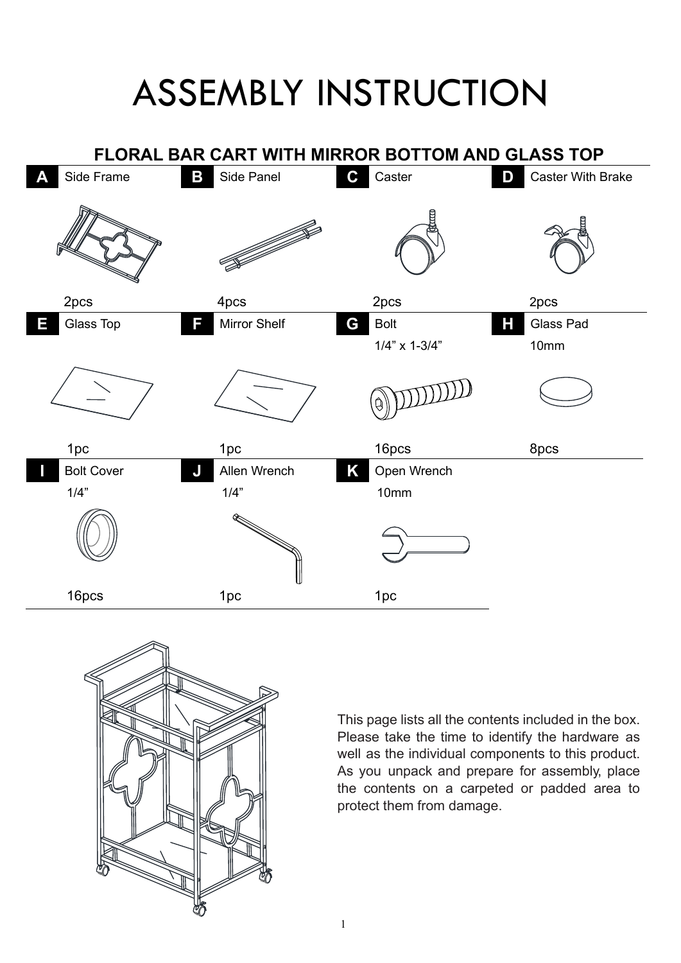## ASSEMBLY INSTRUCTION





This page lists all the contents included in the box. Please take the time to identify the hardware as well as the individual components to this product. As you unpack and prepare for assembly, place the contents on a carpeted or padded area to protect them from damage.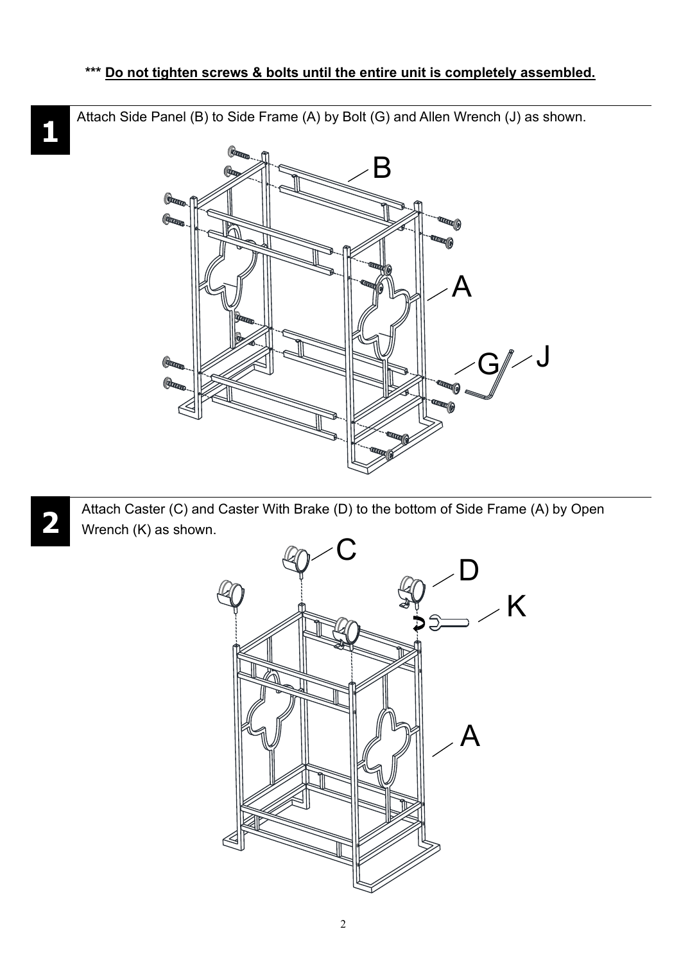Attach Side Panel (B) to Side Frame (A) by Bolt (G) and Allen Wrench (J) as shown.



Attach Caster (C) and Caster With Brake (D) to the bottom of Side Frame (A) by Open Wrench (K) as shown.



**1**

**2**